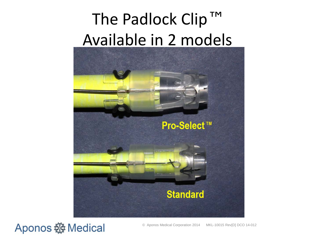### The Padlock Clip™ Available in 2 models



####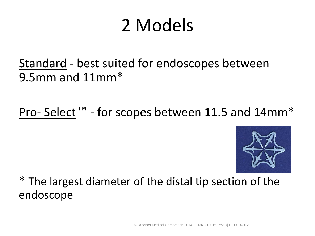## 2 Models

Standard - best suited for endoscopes between 9.5mm and 11mm\*

Pro- Select™ - for scopes between 11.5 and 14mm\*



\* The largest diameter of the distal tip section of the endoscope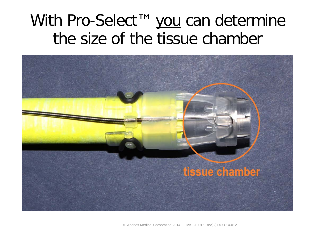#### With Pro-Select™ you can determine the size of the tissue chamber

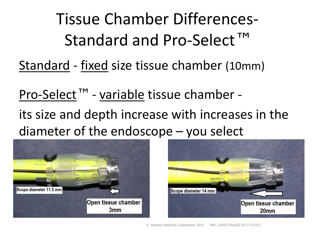Tissue Chamber Differences-Standard and Pro-Select<sup>™</sup>

Standard - fixed size tissue chamber (10mm)

Pro-Select™ - variable tissue chamber its size and depth increase with increases in the diameter of the endoscope – you select



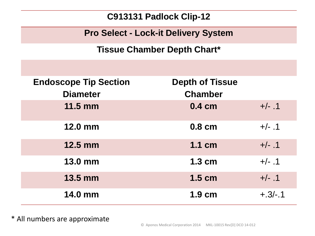**C913131 Padlock Clip-12**

**Pro Select - Lock-it Delivery System**

**Tissue Chamber Depth Chart\***

| <b>Endoscope Tip Section</b><br><b>Diameter</b> | <b>Depth of Tissue</b><br><b>Chamber</b> |          |
|-------------------------------------------------|------------------------------------------|----------|
| $11.5$ mm                                       | $0.4 \text{ cm}$                         | $+/- .1$ |
| <b>12.0 mm</b>                                  | 0.8 cm                                   | $+/- .1$ |
| <b>12.5 mm</b>                                  | 1.1 cm                                   | $+/- .1$ |
| <b>13.0 mm</b>                                  | 1.3 cm                                   | $+/- .1$ |
| <b>13.5 mm</b>                                  | $1.5$ cm                                 | $+/- .1$ |
| <b>14.0 mm</b>                                  | $1.9 \text{ cm}$                         | $+3/-1$  |

\* All numbers are approximate